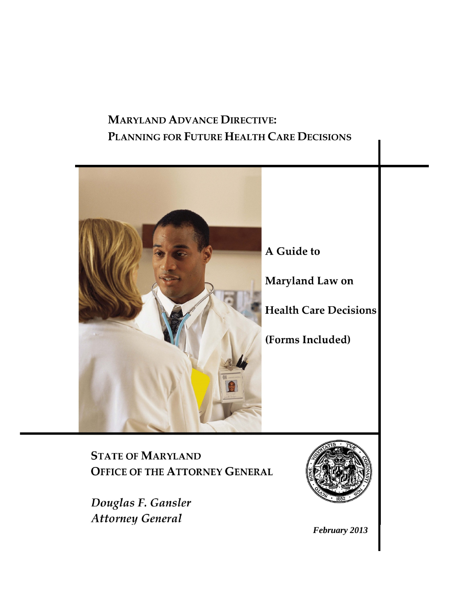# **MARYLAND ADVANCE DIRECTIVE: PLANNING FOR FUTURE HEALTH CARE DECISIONS**



**STATE OF MARYLAND OFFICE OF THE ATTORNEY GENERAL** 

Douglas F. Gansler **Attorney General** 



*February 2013*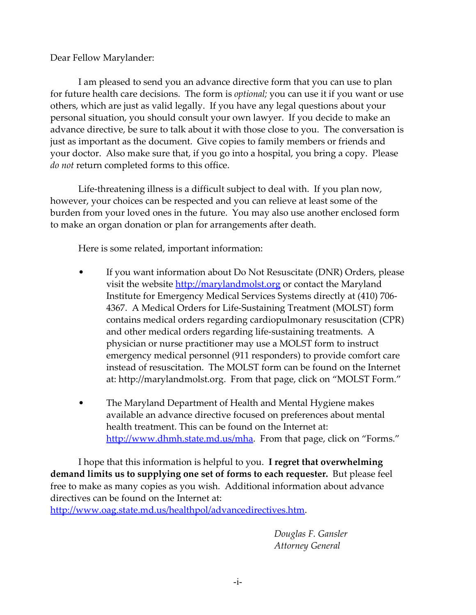Dear Fellow Marylander:

I am pleased to send you an advance directive form that you can use to plan for future health care decisions. The form is *optional;* you can use it if you want or use others, which are just as valid legally. If you have any legal questions about your personal situation, you should consult your own lawyer. If you decide to make an advance directive, be sure to talk about it with those close to you. The conversation is just as important as the document. Give copies to family members or friends and your doctor. Also make sure that, if you go into a hospital, you bring a copy. Please *do not* return completed forms to this office.

Life-threatening illness is a difficult subject to deal with. If you plan now, however, your choices can be respected and you can relieve at least some of the burden from your loved ones in the future. You may also use another enclosed form to make an organ donation or plan for arrangements after death.

Here is some related, important information:

- If you want information about Do Not Resuscitate (DNR) Orders, please visit the website http://marylandmolst.org or contact the Maryland Institute for Emergency Medical Services Systems directly at (410) 706‐ 4367. A Medical Orders for Life‐Sustaining Treatment (MOLST) form contains medical orders regarding cardiopulmonary resuscitation (CPR) and other medical orders regarding life‐sustaining treatments. A physician or nurse practitioner may use a MOLST form to instruct emergency medical personnel (911 responders) to provide comfort care instead of resuscitation. The MOLST form can be found on the Internet at: http://marylandmolst.org. From that page, click on "MOLST Form."
- The Maryland Department of Health and Mental Hygiene makes available an advance directive focused on preferences about mental health treatment. This can be found on the Internet at: http://www.dhmh.state.md.us/mha. From that page, click on "Forms."

I hope that this information is helpful to you. **I regret that overwhelming demand limits us to supplying one set of forms to each requester.** But please feel free to make as many copies as you wish. Additional information about advance directives can be found on the Internet at:

http://www.oag.state.md.us/healthpol/advancedirectives.htm.

 *Douglas F. Gansler Attorney General*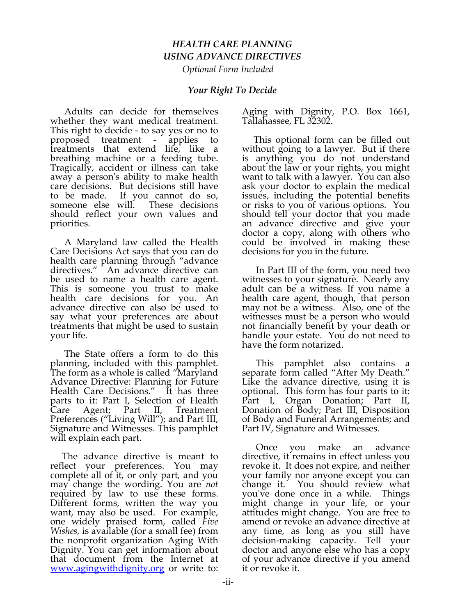### *HEALTH CARE PLANNING USING ADVANCE DIRECTIVES*

*Optional Form Included*

#### *Your Right To Decide*

Adults can decide for themselves whether they want medical treatment. This right to decide ‐ to say yes or no to proposed treatment ‐ applies to treatments that extend life, like a breathing machine or a feeding tube. Tragically, accident or illness can take away a personʹs ability to make health care decisions. But decisions still have to be made. If you cannot do so, someone else will. These decisions should reflect your own values and priorities.

A Maryland law called the Health Care Decisions Act says that you can do health care planning through "advance directives." An advance directive can be used to name a health care agent. This is someone you trust to make health care decisions for you. An advance directive can also be used to say what your preferences are about treatments that might be used to sustain your life.

The State offers a form to do this planning, included with this pamphlet. The form as a whole is called "Maryland Advance Directive: Planning for Future Health Care Decisions." It has three parts to it: Part I, Selection of Health Care Agent; Part II, Treatment Preferences ("Living Will"); and Part III, Signature and Witnesses. This pamphlet will explain each part.

 The advance directive is meant to reflect your preferences. You may complete all of it, or only part, and you may change the wording. You are *not* required by law to use these forms. Different forms, written the way you want, may also be used. For example, one widely praised form, called *Five Wishes,* is available (for a small fee) from the nonprofit organization Aging With Dignity. You can get information about that document from the Internet at www.agingwithdignity.org or write to: Aging with Dignity, P.O. Box 1661, Tallahassee, FL 32302.

 This optional form can be filled out without going to a lawyer. But if there is anything you do not understand about the law or your rights, you might want to talk with a lawyer. You can also ask your doctor to explain the medical issues, including the potential benefits or risks to you of various options. You should tell your doctor that you made an advance directive and give your doctor a copy, along with others who could be involved in making these decisions for you in the future.

In Part III of the form, you need two witnesses to your signature. Nearly any adult can be a witness. If you name a health care agent, though, that person may not be a witness. Also, one of the witnesses must be a person who would not financially benefit by your death or handle your estate. You do not need to have the form notarized.

This pamphlet also contains a separate form called "After My Death." Like the advance directive, using it is optional. This form has four parts to it: Part I, Organ Donation; Part II, Donation of Body; Part III, Disposition of Body and Funeral Arrangements; and Part IV, Signature and Witnesses.

Once you make an advance directive, it remains in effect unless you revoke it. It does not expire, and neither your family nor anyone except you can change it. You should review what youʹve done once in a while. Things might change in your life, or your attitudes might change. You are free to amend or revoke an advance directive at any time, as long as you still have decision‐making capacity. Tell your doctor and anyone else who has <sup>a</sup> copy of your advance directive if you amend it or revoke it.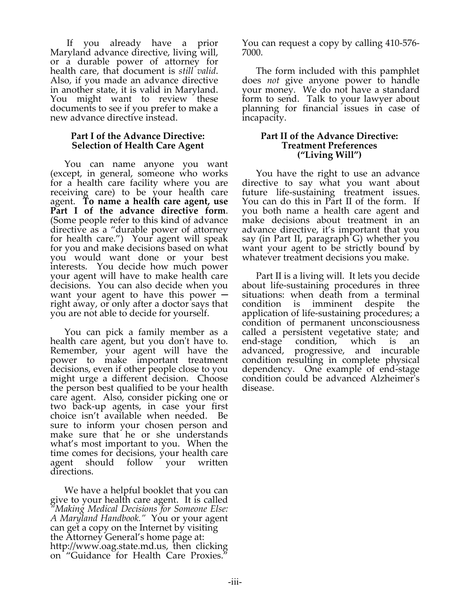If you already have a prior Maryland advance directive, living will, or a durable power of attorney for health care, that document is *still valid*. Also, if you made an advance directive in another state, it is valid in Maryland. You might want to review these documents to see if you prefer to make a new advance directive instead.

#### **Part I of the Advance Directive: Selection of Health Care Agent**

You can name anyone you want (except, in general, someone who works for a health care facility where you are receiving care) to be your health care agent. **To name a health care agent, use Part I of the advance directive form**. (Some people refer to this kind of advance directive as a "durable power of attorney for health care.") Your agent will speak for you and make decisions based on what you would want done or your best interests. You decide how much power your agent will have to make health care decisions. You can also decide when you want your agent to have this power  $$ right away, or only after a doctor says that you are not able to decide for yourself.

You can pick a family member as a health care agent, but you don't have to. Remember, your agent will have the power to make important treatment decisions, even if other people close to you might urge a different decision. Choose the person best qualified to be your health care agent. Also, consider picking one or two back‐up agents, in case your first choice isn't available when needed. Be sure to inform your chosen person and make sure that he or she understands what's most important to you. When the time comes for decisions, your health care agent should follow your written directions.

We have a helpful booklet that you can give to your health care agent. It is called *"Making Medical Decisions for Someone Else: A Maryland Handbook."* You or your agent can get a copy on the Internet by visiting the Attorney General's home page at: http://www.oag.state.md.us, then clicking on "Guidance for Health Care Proxies."

You can request <sup>a</sup> copy by calling <sup>410</sup>‐576‐ 7000.

The form included with this pamphlet does *not* give anyone power to handle your money. We do not have a standard form to send. Talk to your lawyer about planning for financial issues in case of incapacity.

#### $\mathbf{r} = \mathbf{r} \cdot \mathbf{r}$  , where  $\mathbf{r} = \mathbf{r} \cdot \mathbf{r}$  , where  $\mathbf{r} = \mathbf{r} \cdot \mathbf{r}$ **Part II of the Advance Directive: Treatment Preferences ("Living Will")**

You have the right to use an advance directive to say what you want about future life‐sustaining treatment issues. You can do this in Part II of the form. If you both name a health care agent and make decisions about treatment in an advance directive, it's important that you say (in Part II, paragraph G) whether you want your agent to be strictly bound by whatever treatment decisions you make.

Part II is a living will. It lets you decide about life‐sustaining procedures in three situations: when death from a terminal condition is imminent despite the application of life‐sustaining procedures; a condition of permanent unconsciousness called a persistent vegetative state; and end‐stage condition, which is an advanced, progressive, and incurable condition resulting in complete physical dependency. One example of end-stage condition could be advanced Alzheimerʹs disease.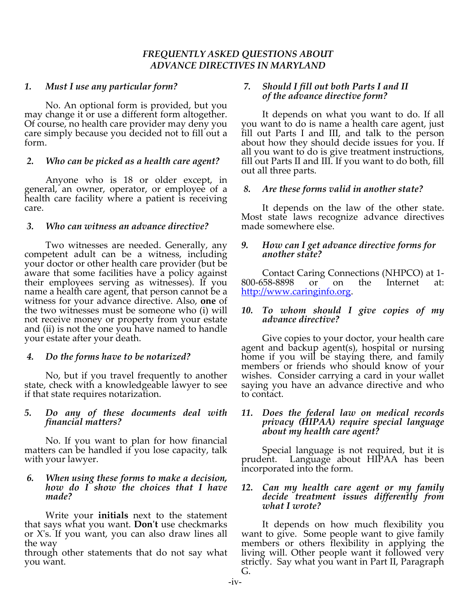#### *FREQUENTLY ASKED QUESTIONS ABOUT ADVANCE DIRECTIVES IN MARYLAND*

#### *1. Must I use any particular form?*

No. An optional form is provided, but you may change it or use a different form altogether. Of course, no health care provider may deny you care simply because you decided not to fill out a form.

#### *2. Who can be picked as a health care agent?*

Anyone who is 18 or older except, in general, an owner, operator, or employee of a health care facility where a patient is receiving care.

#### *3. Who can witness an advance directive?*

Two witnesses are needed. Generally, any competent adult can be a witness, including your doctor or other health care provider (but be aware that some facilities have a policy against their employees serving as witnesses). If you name a health care agent, that person cannot be a witness for your advance directive. Also, **one** of the two witnesses must be someone who (i) will not receive money or property from your estate and (ii) is not the one you have named to handle your estate after your death.

#### *4. Do the forms have to be notarized?*

No, but if you travel frequently to another state, check with a knowledgeable lawyer to see if that state requires notarization.

#### *5. Do any of these documents deal with financial matters?*

No. If you want to plan for how financial matters can be handled if you lose capacity, talk with your lawyer.

#### *6. When using these forms to make a decision, how do I show the choices that I have made?*

Write your **initials** next to the statement that says what you want. **Donʹt** use checkmarks or Xʹs. If you want, you can also draw lines all the way

through other statements that do not say what you want.

#### *7. Should I fill out both Parts I and II of the advance directive form?*

It depends on what you want to do. If all you want to do is name a health care agent, just fill out Parts I and III, and talk to the person about how they should decide issues for you. If all you want to do is give treatment instructions, fill out Parts II and III. If you want to do both, fill out all three parts.

#### *8. Are these forms valid in another state?*

It depends on the law of the other state. Most state laws recognize advance directives made somewhere else.

#### *9. How can I get advance directive forms for another state?*

Contact Caring Connections (NHPCO) at 1‐ 800‐658‐8898 or on the Internet at: http://www.caringinfo.org.

#### *10. To whom should I give copies of my advance directive?*

Give copies to your doctor, your health care agent and backup agent(s), hospital or nursing home if you will be staying there, and family members or friends who should know of your wishes. Consider carrying a card in your wallet saying you have an advance directive and who to contact.

#### *11. Does the federal law on medical records privacy (HIPAA) require special language about my health care agent?*

Special language is not required, but it is prudent. Language about HIPAA has been incorporated into the form.

#### *12. Can my health care agent or my family decide treatment issues differently from what I wrote?*

It depends on how much flexibility you want to give. Some people want to give family members or others flexibility in applying the living will. Other people want it followed very strictly. Say what you want in Part II, Paragraph G.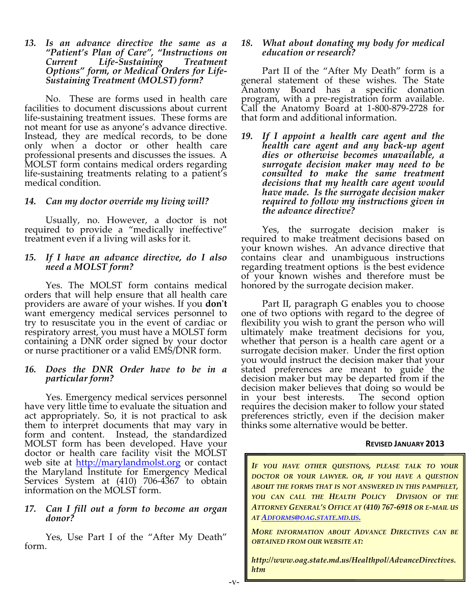#### 13. Is an advance directive the same as a "Patient's Plan of Care", "Instructions on Life-Sustaining Current **Treatment** Options" form, or Medical Orders for Life-**Sustaining Treatment (MOLST) form?**

No. These are forms used in health care facilities to document discussions about current life-sustaining treatment issues. These forms are not meant for use as anyone's advance directive. Instead, they are medical records, to be done only when a doctor or other health care professional presents and discusses the issues. A MOLST form contains medical orders regarding life-sustaining treatments relating to a patient's medical condition.

#### 14. Can my doctor override my living will?

Usually, no. However, a doctor is not required to provide a "medically ineffective" treatment even if a living will asks for it.

#### 15. If I have an advance directive, do I also need a MOLST form?

Yes. The MOLST form contains medical orders that will help ensure that all health care providers are aware of your wishes. If you **don't** want emergency medical services personnel to try to resuscitate you in the event of cardiac or respiratory arrest, you must have a MOLST form containing a DNR order signed by your doctor or nurse practitioner or a valid EMS/DNR form.

#### 16. Does the DNR Order have to be in a *particular form?*

Yes. Emergency medical services personnel have very little time to evaluate the situation and act appropriately. So, it is not practical to ask them to interpret documents that may vary in form and content. Instead, the standardized MOLST form has been developed. Have your doctor or health care facility visit the MOLST web site at http://marylandmolst.org or contact the Maryland Institute for Emergency Medical Services System at (410) 706-4367 to obtain information on the MOLST form.

#### 17. Can I fill out a form to become an organ donor?

Yes, Use Part I of the "After My Death" form.

#### 18. What about donating my body for medical education or research?

Part II of the "After My Death" form is a general statement of these wishes. The State Anatomy Board has a specific donation program, with a pre-registration form available. Call the Anatomy Board at 1-800-879-2728 for that form and additional information.

19. If I appoint a health care agent and the health care agent and any back-up agent dies or otherwise becomes unavailable, a surrogate decision maker may need to be consulted to make the same treatment decisions that my health care agent would have made. Is the surrogate decision maker required to follow my instructions given in the advance directive?

Yes, the surrogate decision maker is required to make treatment decisions based on your known wishes. An advance directive that contains clear and unambiguous instructions regarding treatment options is the best evidence of your known wishes and therefore must be honored by the surrogate decision maker.

Part II, paragraph G enables you to choose one of two options with regard to the degree of flexibility you wish to grant the person who will ultimately make treatment decisions for you, whether that person is a health care agent or a surrogate decision maker. Under the first option you would instruct the decision maker that your stated preferences are meant to guide the decision maker but may be departed from if the decision maker believes that doing so would be in your best interests. The second option requires the decision maker to follow your stated preferences strictly, even if the decision maker thinks some alternative would be better.

#### **REVISED JANUARY 2013**

IF YOU HAVE OTHER QUESTIONS, PLEASE TALK TO YOUR DOCTOR OR YOUR LAWYER. OR, IF YOU HAVE A QUESTION ABOUT THE FORMS THAT IS NOT ANSWERED IN THIS PAMPHLET, YOU CAN CALL THE HEALTH POLICY DIVISION OF THE ATTORNEY GENERAL'S OFFICE AT (410) 767-6918 OR E-MAIL US AT ADFORMS@OAG.STATE.MD.US.

**MORE INFORMATION ABOUT ADVANCE DIRECTIVES CAN BE OBTAINED FROM OUR WEBSITE AT:** 

http://www.oag.state.md.us/Healthpol/AdvanceDirectives. htm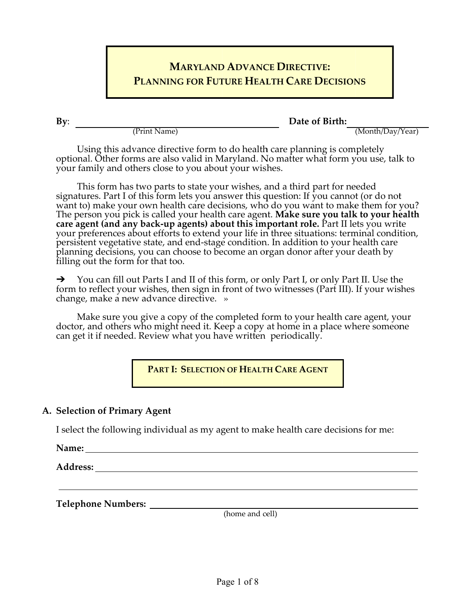# **MARYLAND ADVANCE DIRECTIVE: PLANNING FOR FUTURE HEALTH CARE DECISIONS**

 $\mathbf{By:}$ 

(Print Name) Date of Birth: (Month/Day/Year)

Using this advance directive form to do health care planning is completely optional. Other forms are also valid in Maryland. No matter what form you use, talk to your family and others close to you about your wishes.

This form has two parts to state your wishes, and a third part for needed signatures. Part I of this form lets you answer this question: If you cannot (or do not want to) make your own health care decisions, who do you want to make them for you? The person you pick is called your health care agent. Make sure you talk to your health care agent (and any back-up agents) about this important role. Part II lets you write your preferences about efforts to extend your life in three situations: terminal condition, persistent vegetative state, and end-stage condition. In addition to your health care planning decisions, you can choose to become an organ donor after your death by filling out the form for that too.

 $\rightarrow$  You can fill out Parts I and II of this form, or only Part I, or only Part II. Use the form to reflect your wishes, then sign in front of two witnesses (Part III). If your wishes change, make a new advance directive. »

Make sure you give a copy of the completed form to your health care agent, your doctor, and others who might need it. Keep a copy at home in a place where some one can get it if needed. Review what you have written periodically.

PART I: SELECTION OF HEALTH CARE AGENT

#### A. Selection of Primary Agent

I select the following individual as my agent to make health care decisions for me:

Name: the contract of the contract of the contract of the contract of the contract of the contract of the contract of the contract of the contract of the contract of the contract of the contract of the contract of the cont

Address: the contract of the contract of the contract of the contract of the contract of the contract of the contract of the contract of the contract of the contract of the contract of the contract of the contract of the c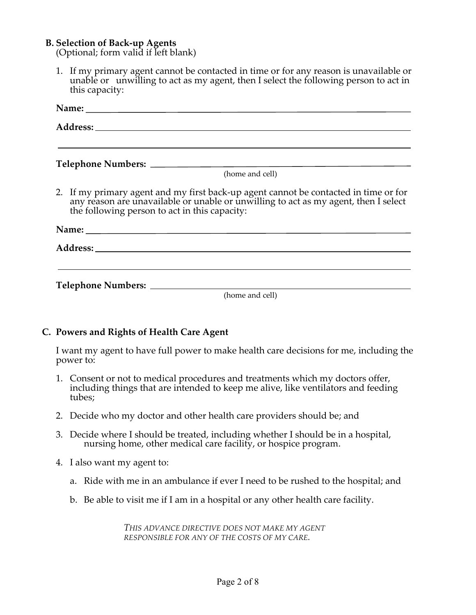#### **B. Selection of Back‐up Agents**

(Optional; form valid if left blank)

1. If my primary agent cannot be contacted in time or for any reason is unavailable or unable or unwilling to act as my agent, then I select the following person to act in this capacity:

|  | (home and cell)                                                                                                                                                                                                              |  |  |
|--|------------------------------------------------------------------------------------------------------------------------------------------------------------------------------------------------------------------------------|--|--|
|  | 2. If my primary agent and my first back-up agent cannot be contacted in time or for<br>any reason are unavailable or unable or unwilling to act as my agent, then I select<br>the following person to act in this capacity: |  |  |
|  |                                                                                                                                                                                                                              |  |  |
|  |                                                                                                                                                                                                                              |  |  |
|  |                                                                                                                                                                                                                              |  |  |
|  |                                                                                                                                                                                                                              |  |  |
|  | (home and cell)                                                                                                                                                                                                              |  |  |

#### **C. Powers and Rights of Health Care Agent**

I want my agent to have full power to make health care decisions for me, including the power to:

- 1. Consent or not to medical procedures and treatments which my doctors offer, including things that are intended to keep me alive, like ventilators and feeding tubes;
- 2. Decide who my doctor and other health care providers should be; and
- 3. Decide where I should be treated, including whether I should be in a hospital, nursing home, other medical care facility, or hospice program.
- 4. I also want my agent to:
	- a. Ride with me in an ambulance if ever I need to be rushed to the hospital; and
	- b. Be able to visit me if I am in a hospital or any other health care facility.

 *THIS ADVANCE DIRECTIVE DOES NOT MAKE MY AGENT RESPONSIBLE FOR ANY OF THE COSTS OF MY CARE.*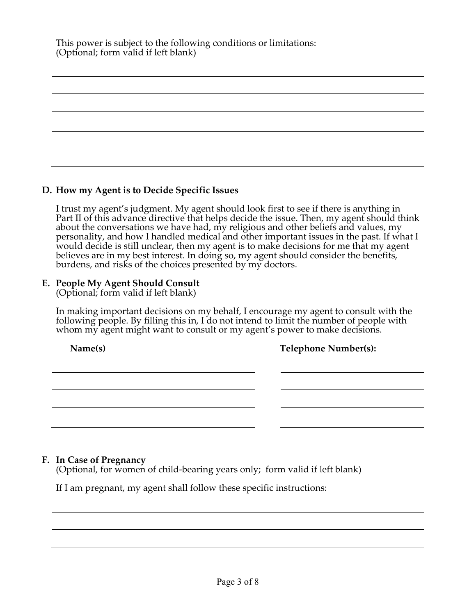This power is subject to the following conditions or limitations: (Optional; form valid if left blank)

#### **D. How my Agent is to Decide Specific Issues**

I trust my agent's judgment. My agent should look first to see if there is anything in Part II of this advance directive that helps decide the issue. Then, my agent should think about the conversations we have had, my religious and other beliefs and values, my personality, and how I handled medical and other important issues in the past. If what I would decide is still unclear, then my agent is to make decisions for me that my agent believes are in my best interest. In doing so, my agent should consider the benefits, burdens, and risks of the choices presented by my doctors.

#### **E. People My Agent Should Consult**

(Optional; form valid if left blank)

In making important decisions on my behalf, I encourage my agent to consult with the following people. By filling this in, I do not intend to limit the number of people with whom my agent might want to consult or my agent's power to make decisions.

**Name(s) Telephone Number(s):**

#### **F. In Case of Pregnancy**

(Optional, for women of child‐bearing years only; form valid if left blank)

<u> 1989 - Johann Stoff, amerikansk politiker (\* 1908)</u>

If I am pregnant, my agent shall follow these specific instructions: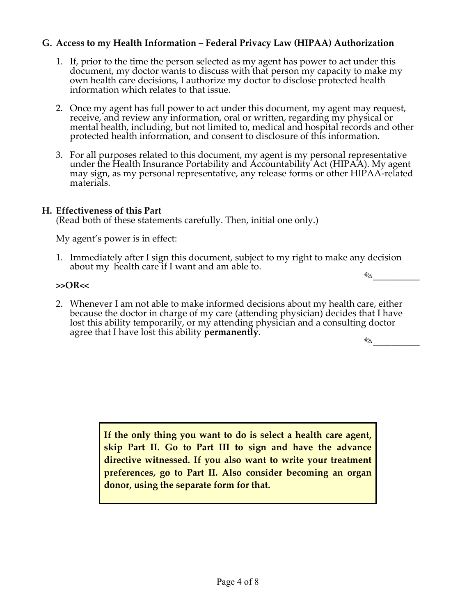#### **G. Access to my Health Information – Federal Privacy Law (HIPAA) Authorization**

- 1. If, prior to the time the person selected as my agent has power to act under this document, my doctor wants to discuss with that person my capacity to make my own health care decisions, I authorize my doctor to disclose protected health information which relates to that issue.
- 2. Once my agent has full power to act under this document, my agent may request, receive, and review any information, oral or written, regarding my physical or mental health, including, but not limited to, medical and hospital records and other protected health information, and consent to disclosure of this information.
- 3. For all purposes related to this document, my agent is my personal representative under the Health Insurance Portability and Accountability Act (HIPAA). My agent may sign, as my personal representative, any release forms or other HIPAA‐related materials.

#### **H. Effectiveness of this Part**

(Read both of these statements carefully. Then, initial one only.)

My agent's power is in effect:

1. Immediately after I sign this document, subject to my right to make any decision about my health care if I want and am able to.

# ✎\_\_\_\_\_\_\_\_\_\_ **>>OR<<**

2. Whenever I am not able to make informed decisions about my health care, either because the doctor in charge of my care (attending physician) decides that I have lost this ability temporarily, or my attending physician and a consulting doctor agree that I have lost this ability **permanently**.

✎\_\_\_\_\_\_\_\_\_\_

**If the only thing you want to do is select a health care agent, skip Part II. Go to Part III to sign and have the advance directive witnessed. If you also want to write your treatment preferences, go to Part II. Also consider becoming an organ donor, using the separate form for that.**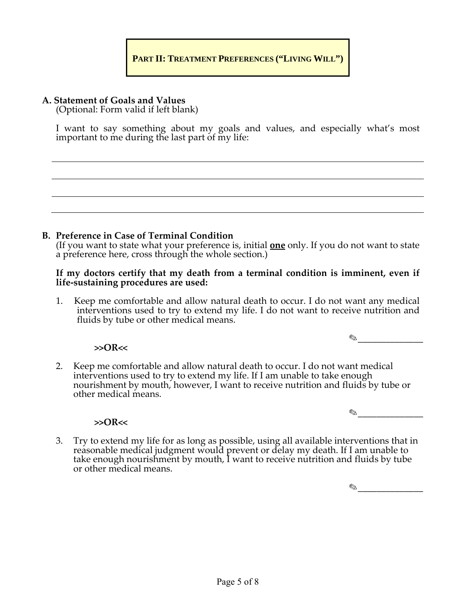#### **A. Statement of Goals and Values**

(Optional: Form valid if left blank)

I want to say something about my goals and values, and especially what's most important to me during the last part of my life:

#### **B. Preference in Case of Terminal Condition**

(If you want to state what your preference is, initial **one** only. If you do not want to state a preference here, cross through the whole section.)

#### $\mathcal{L}^{\text{max}}_{\text{max}}$ **If my doctors certify that my death from a terminal condition is imminent, even if life‐sustaining procedures are used:**

1. Keep me comfortable and allow natural death to occur. I do not want any medical interventions used to try to extend my life. I do not want to receive nutrition and fluids by tube or other medical means.

#### $\circledcirc$ **>>OR<<**

 2. Keep me comfortable and allow natural death to occur. I do not want medical interventions used to try to extend my life. If I am unable to take enough nourishment by mouth, however, I want to receive nutrition and fluids by tube or other medical means.

 $\mathcal{Q}$ 

#### **>>OR<<**

3. Try to extend my life for as long as possible, using all available interventions that in reasonable medical judgment would prevent or delay my death. If I am unable to take enough nourishment by mouth, I want to receive nutrition and fluids by tube or other medical means.

 $\text{\AA}$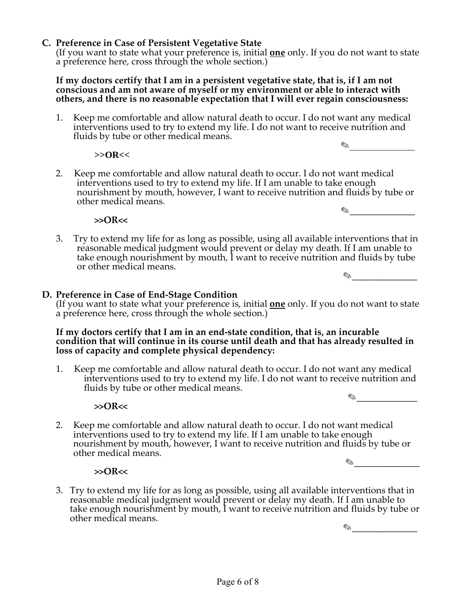#### **C. Preference in Case of Persistent Vegetative State**

(If you want to state what your preference is, initial **one** only. If you do not want to state <sup>a</sup> preference here, cross through the whole section.)

**If my doctors certify that I am in a persistent vegetative state, that is, if I am not conscious and am not aware of myself or my environment or able to interact with others, and there is no reasonable expectation that I will ever regain consciousness:**

1. Keep me comfortable and allow natural death to occur. I do not want any medical interventions used to try to extend my life. I do not want to receive nutrition and fluids by tube or other medical means.  $\circ$ 

**>>OR<<**

2. Keep me comfortable and allow natural death to occur. I do not want medical interventions used to try to extend my life. If I am unable to take enough nourishment by mouth, however, I want to receive nutrition and fluids by tube or other medical means.  $\circledcirc$ 

**>>OR<<**

3. Try to extend my life for as long as possible, using all available interventions that in reasonable medical judgment would prevent or delay my death. If I am unable to take enough nourishment by mouth, I want to receive nutrition and fluids by tube or other medical means.  $\circledast$ 

#### **D. Preference in Case of End‐Stage Condition**

(If you want to state what your preference is, initial **one** only. If you do not want to state a preference here, cross through the whole section.)

#### **If my doctors certify that I am in an end‐state condition, that is, an incurable condition that will continue in its course until death and that has already resulted in loss of capacity and complete physical dependency:**

1. Keep me comfortable and allow natural death to occur. I do not want any medical interventions used to try to extend my life. I do not want to receive nutrition and fluids by tube or other medical means.

 $\circ$ 

**>>OR<<**

 2. Keep me comfortable and allow natural death to occur. I do not want medical interventions used to try to extend my life. If I am unable to take enough nourishment by mouth, however, I want to receive nutrition and fluids by tube or other medical means.

✎\_\_\_\_\_\_\_\_\_\_\_\_\_\_

**>>OR<<**

3. Try to extend my life for as long as possible, using all available interventions that in reasonable medical judgment would prevent or delay my death. If I am unable to take enough nourishment by mouth, I want to receive nutrition and fluids by tube or other medical means.

 $\circledcirc$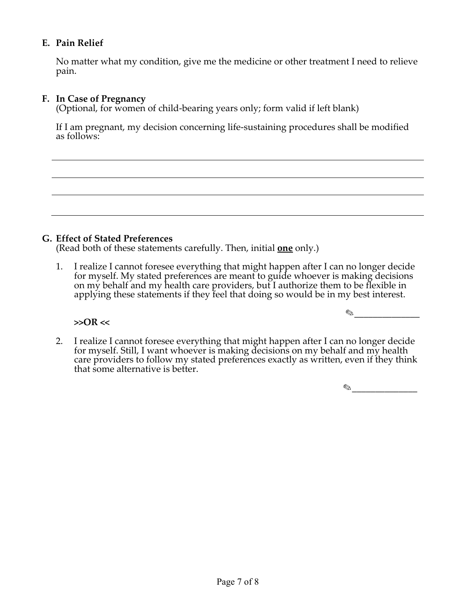#### **E. Pain Relief**

No matter what my condition, give me the medicine or other treatment I need to relieve pain.

#### **F. In Case of Pregnancy**

(Optional, for women of child‐bearing years only; form valid if left blank)

If I am pregnant, my decision concerning life‐sustaining procedures shall be modified as follows:

#### **G. Effect of Stated Preferences**

(Read both of these statements carefully. Then, initial **one** only.)

1. I realize I cannot foresee everything that might happen after I can no longer decide for myself. My stated preferences are meant to guide whoever is making decisions on my behalf and my health care providers, but I authorize them to be flexible in applying these statements if they feel that doing so would be in my best interest.

✎\_\_\_\_\_\_\_\_\_\_\_\_\_\_ **>>OR <<**

2. I realize I cannot foresee everything that might happen after I can no longer decide for myself. Still, I want whoever is making decisions on my behalf and my health care providers to follow my stated preferences exactly as written, even if they think that some alternative is better.

✎\_\_\_\_\_\_\_\_\_\_\_\_\_\_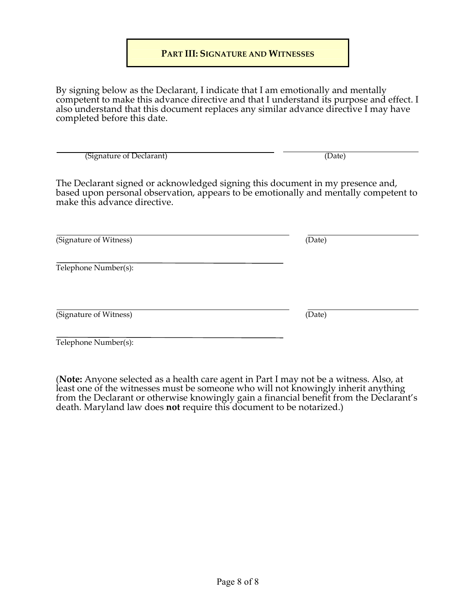#### **PART III: SIGNATURE AND WITNESSES**

By signing below as the Declarant, I indicate that I am emotionally and mentally competent to make this advance directive and that I understand its purpose and effect. I also understand that this document replaces any similar advance directive I may have completed before this date.

(Signature of Declarant) (Date)

The Declarant signed or acknowledged signing this document in my presence and, based upon personal observation, appears to be emotionally and mentally competent to make this advance directive.

| (Signature of Witness) | (Date) |
|------------------------|--------|
| Telephone Number(s):   |        |
|                        |        |
| (Signature of Witness) | (Date) |

Telephone Number(s):

(**Note:** Anyone selected as a health care agent in Part I may not be a witness. Also, at least one of the witnesses must be someone who will not knowingly inherit anything from the Declarant or otherwise knowingly gain a financial benefit from the Declarant's death. Maryland law does **not** require this document to be notarized.)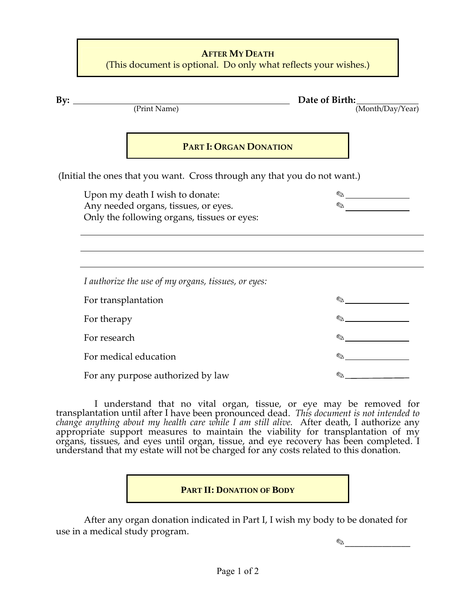# **AFTER MY DEATH**

(This document is optional. Do only what reflects your wishes.)

| By: | (Print Name)                                                                                                           | $\textbf{Date of Birth:} \substack{\textcolor{red}{\textbf{(Month/Day/Year)}}}$                                                                                                                                                                                                                                                                                                              |
|-----|------------------------------------------------------------------------------------------------------------------------|----------------------------------------------------------------------------------------------------------------------------------------------------------------------------------------------------------------------------------------------------------------------------------------------------------------------------------------------------------------------------------------------|
|     | PART I: ORGAN DONATION                                                                                                 |                                                                                                                                                                                                                                                                                                                                                                                              |
|     | (Initial the ones that you want. Cross through any that you do not want.)                                              |                                                                                                                                                                                                                                                                                                                                                                                              |
|     | Upon my death I wish to donate:<br>Any needed organs, tissues, or eyes.<br>Only the following organs, tissues or eyes: | $\begin{picture}(20,20) \put(0,0){\line(1,0){10}} \put(15,0){\line(1,0){10}} \put(15,0){\line(1,0){10}} \put(15,0){\line(1,0){10}} \put(15,0){\line(1,0){10}} \put(15,0){\line(1,0){10}} \put(15,0){\line(1,0){10}} \put(15,0){\line(1,0){10}} \put(15,0){\line(1,0){10}} \put(15,0){\line(1,0){10}} \put(15,0){\line(1,0){10}} \put(15,0){\line(1$<br><u> a shekara ta 1999 a shekara t</u> |
|     | I authorize the use of my organs, tissues, or eyes:                                                                    |                                                                                                                                                                                                                                                                                                                                                                                              |
|     | For transplantation                                                                                                    | $\bullet$ and the contract of $\bullet$                                                                                                                                                                                                                                                                                                                                                      |
|     | For therapy                                                                                                            | ⇖                                                                                                                                                                                                                                                                                                                                                                                            |
|     | For research                                                                                                           | $\qquad \qquad \otimes$                                                                                                                                                                                                                                                                                                                                                                      |
|     | For medical education                                                                                                  |                                                                                                                                                                                                                                                                                                                                                                                              |
|     | For any purpose authorized by law                                                                                      | $\bullet$                                                                                                                                                                                                                                                                                                                                                                                    |

I understand that no vital organ, tissue, or eye may be removed for transplantation until after I have been pronounced dead. *This document is not intended to change anything about my health care while I am still alive.* After death, I authorize any appropriate support measures to maintain the viability for transplantation of my organs, tissues, and eyes until organ, tissue, and eye recovery has been completed. I understand that my estate will not be charged for any costs related to this donation.

#### **PART II: DONATION OF BODY**

After any organ donation indicated in Part I, I wish my body to be donated for use in a medical study program.

 $\bullet$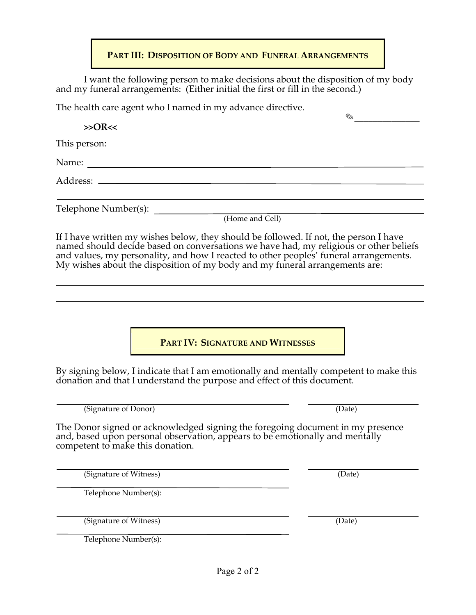#### **PART III: DISPOSITION OF BODY AND FUNERAL ARRANGEMENTS**

<sup>I</sup> want the following person to make decisions about the disposition of my body and my funeral arrangements: (Either initial the first or fill in the second.)

The health care agent who I named in my advance directive.

**>>OR<<**

This person:

Name:

Address:

Telephone Number(s):

(Home and Cell)

If I have written my wishes below, they should be followed. If not, the person I have named should decide based on conversations we have had, my religious or other beliefs and values, my personality, and how I reacted to other peoples' funeral arrangements. My wishes about the disposition of my body and my funeral arrangements are:

**PART IV: SIGNATURE AND WITNESSES**

By signing below, I indicate that I am emotionally and mentally competent to make this donation and that I understand the purpose and effect of this document.

 (Signature of Donor) (Date)

The Donor signed or acknowledged signing the foregoing document in my presence and, based upon personal observation, appears to be emotionally and mentally competent to make this donation.

 (Signature of Witness) (Date)

Telephone Number(s):

 (Signature of Witness) (Date)

Telephone Number(s):

✎\_\_\_\_\_\_\_\_\_\_\_\_\_\_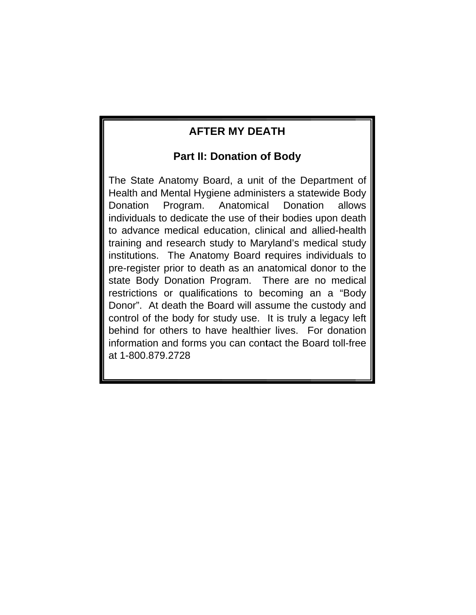# **AFTER MY DEATH**

## **Part II: Donation of Body**

The State Anatomy Board, a unit of the Department of Health and Mental Hygiene administers a statewide Body Donation Program. Anatomical **Donation** allows individuals to dedicate the use of their bodies upon death to advance medical education, clinical and allied-health training and research study to Maryland's medical study institutions. The Anatomy Board requires individuals to pre-register prior to death as an anatomical donor to the state Body Donation Program. There are no medical restrictions or qualifications to becoming an a "Body" Donor". At death the Board will assume the custody and control of the body for study use. It is truly a legacy left behind for others to have healthier lives. For donation information and forms you can contact the Board toll-free at 1-800.879.2728